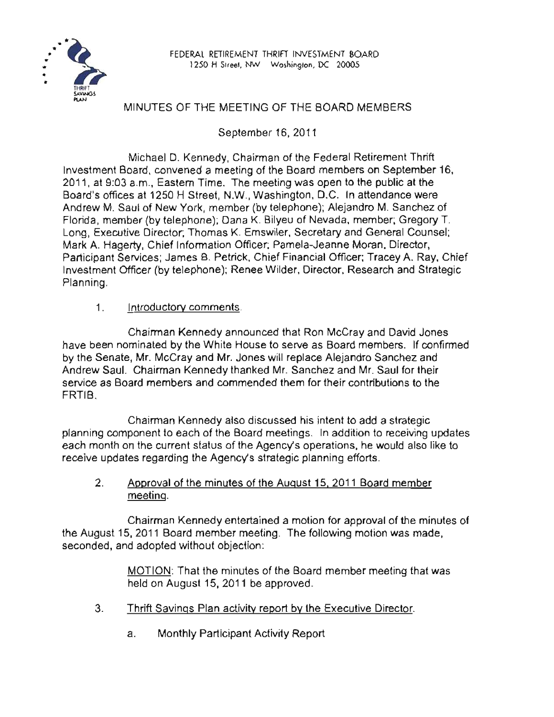

## MINUTES OF THE MEETING OF THE BOARD MEMBERS

September 16, 2011

Michael D. Kennedy, Chairman of the Federal Retirement Thrift Investment Board, convened a meeting of the Board members on September 16, 2011, at 9:03 a.m., Eastern Time. The meeting was open to the public at the Board's offices at 1250 H Street, N.W., Washington, D.C. In attendance were Andrew M. Saul of New York, member (by telephone); Alejandro M. Sanchez of Florida, member (by telephone); Dana K. Bilyeu of Nevada, member; Gregory T. Long, Executive Director; Thomas K. Emswiler, Secretary and General Counsel; Mark A. Hagerty, Chief Information Officer; Pamela-Jeanne Moran, Director, Participant Services; James B. Petrick, Chief Financial Officer; Tracey A. Ray, Chief Investment Officer (by telephone); Renee Wilder, Director, Research and Strategic Planning.

1. Introductory comments.

Chairman Kennedy announced that Ron McCray and David Jones have been nominated by the White House to serve as Board members. If confirmed by the Senate, Mr. McCray and Mr. Jones will replace Alejandro Sanchez and Andrew Saul. Chairman Kennedy thanked Mr. Sanchez and Mr. Saul for their service as Board members and commended them for their contributions to the **FRTIB** 

Chairman Kennedy also discussed his intent to add a strategic planning component to each of the Board meetings. In addition to receiving updates each month on the current status of the Agency's operations, he would also like to receive updates regarding the Agency's strategic planning efforts.

2. Approval of the minutes of the August 15. 2011 Board member meeting.

Chairman Kennedy entertained a motion for approval of the minutes of the August 15, 2011 Board member meeting. The following motion was made, seconded, and adopted without objection:

> MOTION: That the minutes of the Board member meeting that was held on August 15, 2011 be approved.

- 3. Thrift Savings Plan activity report by the Executive Director.
	- a. Monthly Participant Activity Report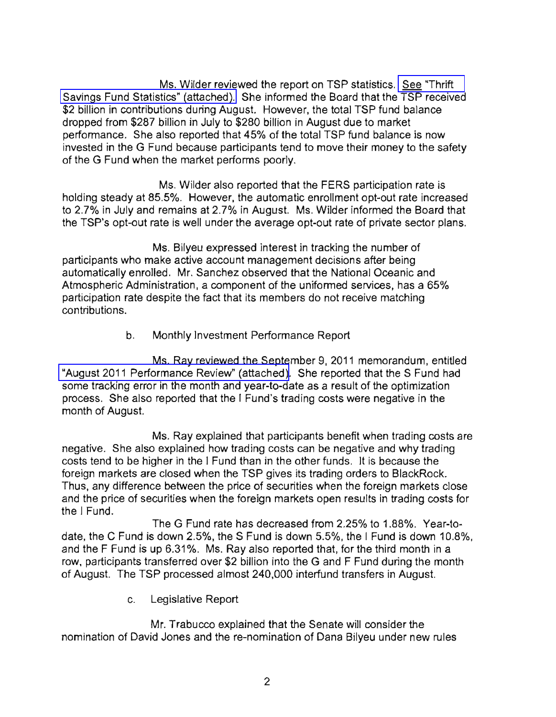Ms. Wilder reviewed the report on TSP statistics. [See "Thrift](www.frtib.gov/pdf/minutes/MM-2011Sep-Att1.pdf)  [Savings Fund Statistics" \(attached\).](www.frtib.gov/pdf/minutes/MM-2011Sep-Att1.pdf) She informed the Board that the TSP received \$2 billion in contributions during August. However, the total TSP fund balance dropped from \$287 billion in July to \$280 billion in August due to market performance. She also reported that 45% of the total TSP fund balance is now invested in the G Fund because participants tend to move their money to the safety of the G Fund when the market performs poorly.

Ms. Wilder also reported that the FERS participation rate is holding steady at 85.5%. However, the automatic enrollment opt-out rate increased to 2.7% in July and remains at 2.7% in August. Ms. Wilder informed the Board that the TSP's opt-out rate is well under the average opt-out rate of private sector plans.

Ms. Bilyeu expressed interest in tracking the number of participants who make active account management decisions after being automatically enrolled. Mr. Sanchez observed that the National Oceanic and Atmospheric Administration, a component of the uniformed services, has a 65% participation rate despite the fact that its members do not receive matching contributions.

b. Monthly Investment Performance Report

Ms. Ray reviewed the September 9, 2011 memorandum, entitled ["August 2011 Performance Review" \(attached\).](www.frtib.gov/pdf/minutes/MM-2011Sep-Att2.pdf) She reported that the S Fund had some tracking error in the month and year-to-date as a result of the optimization process. She also reported that the I Fund's trading costs were negative in the month of August.

Ms. Ray explained that participants benefit when trading costs are negative. She also explained how trading costs can be negative and why trading costs tend to be higher in the I Fund than in the other funds. It is because the foreign markets are closed when the TSP gives its trading orders to BlackRock. Thus, any difference between the price of securities when the foreign markets close and the price of securities when the foreign markets open results in trading costs for the I Fund.

The G Fund rate has decreased from 2.25% to 1.88%. Year-todate, the C Fund is down 2.5%, the S Fund is down 5.5%, the I Fund is down 10.8%, and the F Fund is up 6.31%. Ms. Ray also reported that, for the third month in a row, participants transferred over \$2 billion into the G and F Fund during the month of August. The TSP processed almost 240,000 interfund transfers in August.

c. Legislative Report

Mr. Trabucco explained that the Senate will consider the nomination of David Jones and the re-nomination of Dana Bilyeu under new rules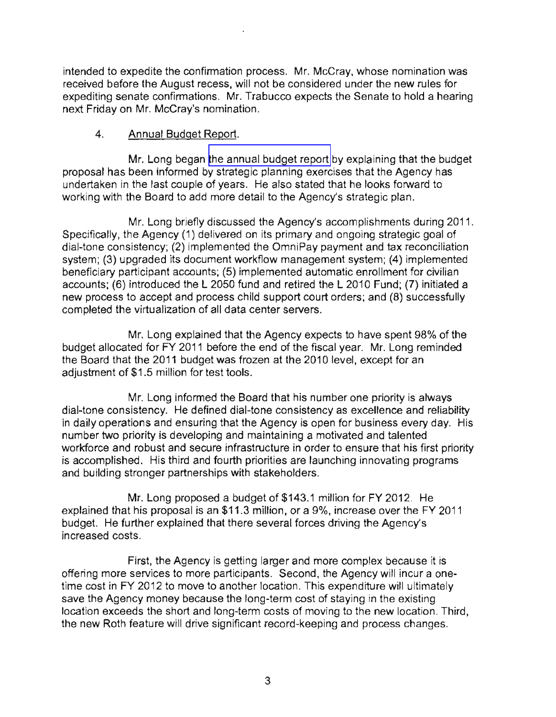intended to expedite the confirmation process. Mr. McCray, whose nomination was received before the August recess, will not be considered under the new rules for expediting senate confirmations. Mr. Trabucco expects the Senate to hold a hearing next Friday on Mr. McCray's nomination.

## 4. Annual Budget Report.

Mr. Long began [the annual budget report](www.frtib.gov/pdf/minutes/MM-2011Sep-Att3.pdf) by explaining that the budget proposal has been informed by strategic planning exercises that the Agency has undertaken in the last couple of years. He also stated that he looks forward to working with the Board to add more detail to the Agency's strategic plan.

Mr. Long briefly discussed the Agency's accomplishments during 2011. Specifically, the Agency (1) delivered on its primary and ongoing strategic goal of dial-tone consistency; (2) implemented the OmniPay payment and tax reconciliation system; (3) upgraded its document workflow management system; (4) implemented beneficiary participant accounts; (5) implemented automatic enrollment for civilian accounts; (6) introduced the L 2050 fund and retired the L 2010 Fund; (7) initiated a new process to accept and process child support court orders; and (8) successfully completed the virtualization of all data center servers.

Mr. Long explained that the Agency expects to have spent 98% of the budget allocated for FY 2011 before the end of the fiscal year. Mr. Long reminded the Board that the 2011 budget was frozen at the 2010 level, except for an adjustment of \$1.5 million for test tools.

Mr. Long informed the Board that his number one priority is always dial-tone consistency. He defined dial-tone consistency as excellence and reliability in daily operations and ensuring that the Agency is open for business every day. His number two priority is developing and maintaining a motivated and talented workforce and robust and secure infrastructure in order to ensure that his first priority is accomplished. His third and fourth priorities are launching innovating programs and building stronger partnerships with stakeholders.

Mr. Long proposed a budget of \$143.1 million for FY 2012. He explained that his proposal is an \$11.3 million, or a 9%, increase over the FY 2011 budget. He further explained that there several forces driving the Agency's increased costs.

First, the Agency is getting larger and more complex because it is offering more services to more participants. Second, the Agency will incur a onetime cost in FY 2012 to move to another location. This expenditure will ultimately save the Agency money because the long-term cost of staying in the existing location exceeds the short and long-term costs of moving to the new location. Third, the new Roth feature will drive significant record-keeping and process changes.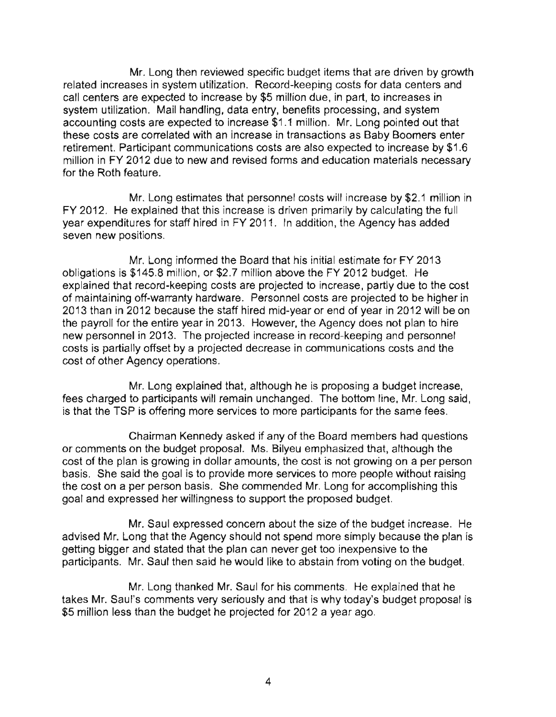Mr. Long then reviewed specific budget items that are driven by growth related increases in system utilization. Record-keeping costs for data centers and call centers are expected to increase by \$5 million due, in part, to increases in system utilization. Mail handling, data entry, benefits processing, and system accounting costs are expected to increase \$1.1 million. Mr. Long pointed out that these costs are correlated with an increase in transactions as Baby Boomers enter retirement. Participant communications costs are also expected to increase by \$1.6 million in FY 2012 due to new and revised forms and education materials necessary for the Roth feature.

Mr. Long estimates that personnel costs will increase by \$2.1 million in FY 2012. He explained that this increase is driven primarily by calculating the full year expenditures for staff hired in FY 2011. In addition, the Agency has added seven new positions.

Mr. Long informed the Board that his initial estimate for FY 2013 obligations is \$145.8 million, or \$2.7 million above the FY 2012 budget. He explained that record-keeping costs are projected to increase, partly due to the cost of maintaining off-warranty hardware. Personnel costs are projected to be higher in 2013 than in 2012 because the staff hired mid-year or end of year in 2012 will be on the payroll for the entire year in 2013. However, the Agency does not plan to hire new personnel in 2013. The projected increase in record-keeping and personnel costs is partially offset by a projected decrease in communications costs and the cost of other Agency operations.

Mr. Long explained that, although he is proposing a budget increase, fees charged to participants will remain unchanged. The bottom line, Mr. Long said, is that the TSP is offering more services to more participants for the same fees.

Chairman Kennedy asked if any of the Board members had questions or comments on the budget proposal. Ms. Bilyeu emphasized that, although the cost of the plan is growing in dollar amounts, the cost is not growing on a per person basis. She said the goal is to provide more services to more people without raising the cost on a per person basis. She commended Mr. Long for accomplishing this goal and expressed her willingness to support the proposed budget.

Mr. Saul expressed concern about the size of the budget increase. He advised Mr. Long that the Agency should not spend more simply because the plan is getting bigger and stated that the plan can never get too inexpensive to the participants. Mr. Saul then said he would like to abstain from voting on the budget.

Mr. Long thanked Mr. Saul for his comments. He explained that he takes Mr. Saul's comments very seriously and that is why today's budget proposal is \$5 million less than the budget he projected for 2012 a year ago.